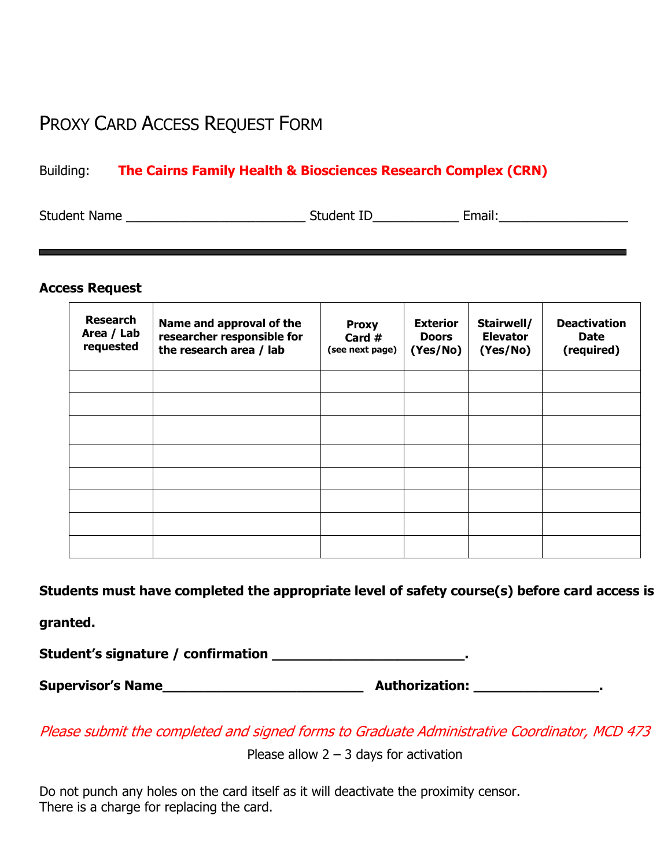## PROXY CARD ACCESS REQUEST FORM

## Building: **The Cairns Family Health & Biosciences Research Complex (CRN)**

| <b>Student Name</b> | Student ID | :mail: |  |
|---------------------|------------|--------|--|
|                     |            |        |  |

## **Access Request**

| <b>Research</b><br>Area / Lab<br>requested | Name and approval of the<br>researcher responsible for<br>the research area / lab | <b>Proxy</b><br>Card $#$<br>(see next page) | <b>Exterior</b><br><b>Doors</b><br>(Yes/No) | Stairwell/<br><b>Elevator</b><br>(Yes/No) | <b>Deactivation</b><br><b>Date</b><br>(required) |
|--------------------------------------------|-----------------------------------------------------------------------------------|---------------------------------------------|---------------------------------------------|-------------------------------------------|--------------------------------------------------|
|                                            |                                                                                   |                                             |                                             |                                           |                                                  |
|                                            |                                                                                   |                                             |                                             |                                           |                                                  |
|                                            |                                                                                   |                                             |                                             |                                           |                                                  |
|                                            |                                                                                   |                                             |                                             |                                           |                                                  |
|                                            |                                                                                   |                                             |                                             |                                           |                                                  |
|                                            |                                                                                   |                                             |                                             |                                           |                                                  |
|                                            |                                                                                   |                                             |                                             |                                           |                                                  |
|                                            |                                                                                   |                                             |                                             |                                           |                                                  |

**Students must have completed the appropriate level of safety course(s) before card access is** 

**granted.** 

**Student's signature / confirmation \_\_\_\_\_\_\_\_\_\_\_\_\_\_\_\_\_\_\_\_\_\_\_.** 

**Supervisor's Name\_\_\_\_\_\_\_\_\_\_\_\_\_\_\_\_\_\_\_\_\_\_\_\_ Authorization: \_\_\_\_\_\_\_\_\_\_\_\_\_\_\_.** 

Please submit the completed and signed forms to Graduate Administrative Coordinator, MCD 473

Please allow  $2 - 3$  days for activation

Do not punch any holes on the card itself as it will deactivate the proximity censor. There is a charge for replacing the card.